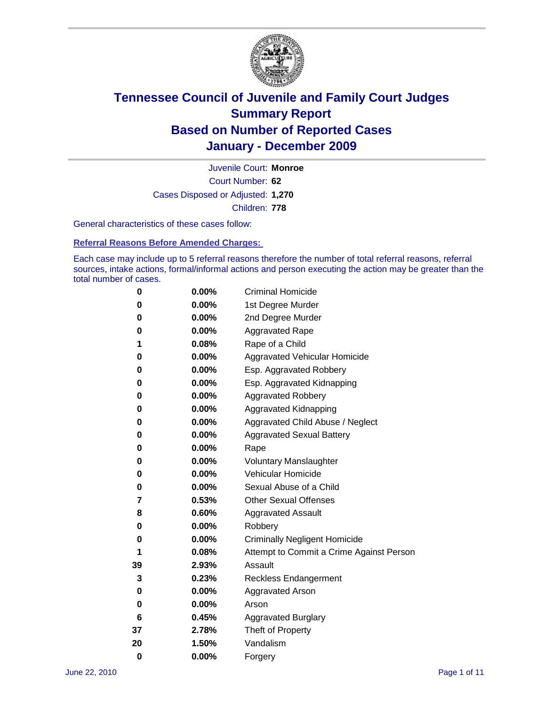

Court Number: **62** Juvenile Court: **Monroe** Cases Disposed or Adjusted: **1,270** Children: **778**

General characteristics of these cases follow:

**Referral Reasons Before Amended Charges:** 

Each case may include up to 5 referral reasons therefore the number of total referral reasons, referral sources, intake actions, formal/informal actions and person executing the action may be greater than the total number of cases.

| 0  | 0.00% | <b>Criminal Homicide</b>                 |
|----|-------|------------------------------------------|
| 0  | 0.00% | 1st Degree Murder                        |
| 0  | 0.00% | 2nd Degree Murder                        |
| 0  | 0.00% | <b>Aggravated Rape</b>                   |
| 1  | 0.08% | Rape of a Child                          |
| 0  | 0.00% | Aggravated Vehicular Homicide            |
| 0  | 0.00% | Esp. Aggravated Robbery                  |
| 0  | 0.00% | Esp. Aggravated Kidnapping               |
| 0  | 0.00% | <b>Aggravated Robbery</b>                |
| 0  | 0.00% | Aggravated Kidnapping                    |
| 0  | 0.00% | Aggravated Child Abuse / Neglect         |
| 0  | 0.00% | <b>Aggravated Sexual Battery</b>         |
| 0  | 0.00% | Rape                                     |
| 0  | 0.00% | <b>Voluntary Manslaughter</b>            |
| 0  | 0.00% | Vehicular Homicide                       |
| 0  | 0.00% | Sexual Abuse of a Child                  |
| 7  | 0.53% | <b>Other Sexual Offenses</b>             |
| 8  | 0.60% | <b>Aggravated Assault</b>                |
| 0  | 0.00% | Robbery                                  |
| 0  | 0.00% | <b>Criminally Negligent Homicide</b>     |
| 1  | 0.08% | Attempt to Commit a Crime Against Person |
| 39 | 2.93% | Assault                                  |
| 3  | 0.23% | <b>Reckless Endangerment</b>             |
| 0  | 0.00% | <b>Aggravated Arson</b>                  |
| 0  | 0.00% | Arson                                    |
| 6  | 0.45% | <b>Aggravated Burglary</b>               |
| 37 | 2.78% | Theft of Property                        |
| 20 | 1.50% | Vandalism                                |
| 0  | 0.00% | Forgery                                  |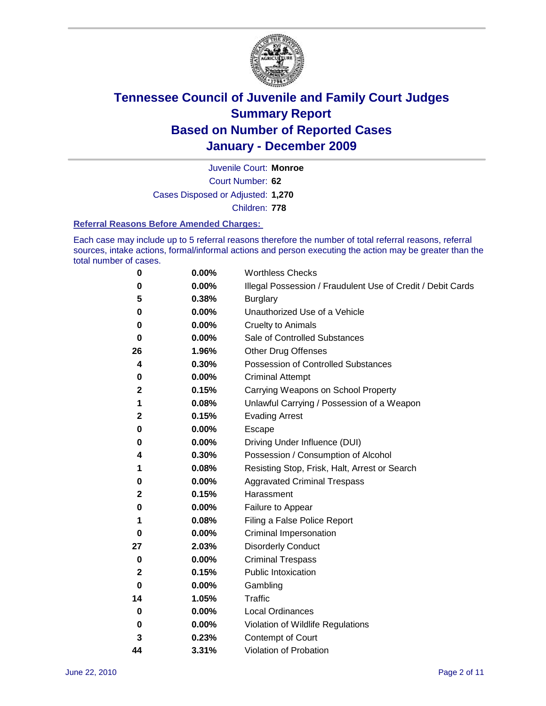

Court Number: **62** Juvenile Court: **Monroe** Cases Disposed or Adjusted: **1,270** Children: **778**

#### **Referral Reasons Before Amended Charges:**

Each case may include up to 5 referral reasons therefore the number of total referral reasons, referral sources, intake actions, formal/informal actions and person executing the action may be greater than the total number of cases.

| 0            | 0.00% | <b>Worthless Checks</b>                                     |
|--------------|-------|-------------------------------------------------------------|
| 0            | 0.00% | Illegal Possession / Fraudulent Use of Credit / Debit Cards |
| 5            | 0.38% | <b>Burglary</b>                                             |
| 0            | 0.00% | Unauthorized Use of a Vehicle                               |
| 0            | 0.00% | <b>Cruelty to Animals</b>                                   |
| 0            | 0.00% | Sale of Controlled Substances                               |
| 26           | 1.96% | <b>Other Drug Offenses</b>                                  |
| 4            | 0.30% | Possession of Controlled Substances                         |
| 0            | 0.00% | <b>Criminal Attempt</b>                                     |
| 2            | 0.15% | Carrying Weapons on School Property                         |
| 1            | 0.08% | Unlawful Carrying / Possession of a Weapon                  |
| $\mathbf{2}$ | 0.15% | <b>Evading Arrest</b>                                       |
| 0            | 0.00% | Escape                                                      |
| 0            | 0.00% | Driving Under Influence (DUI)                               |
| 4            | 0.30% | Possession / Consumption of Alcohol                         |
| 1            | 0.08% | Resisting Stop, Frisk, Halt, Arrest or Search               |
| 0            | 0.00% | <b>Aggravated Criminal Trespass</b>                         |
| 2            | 0.15% | Harassment                                                  |
| 0            | 0.00% | Failure to Appear                                           |
| 1            | 0.08% | Filing a False Police Report                                |
| 0            | 0.00% | Criminal Impersonation                                      |
| 27           | 2.03% | <b>Disorderly Conduct</b>                                   |
| 0            | 0.00% | <b>Criminal Trespass</b>                                    |
| 2            | 0.15% | <b>Public Intoxication</b>                                  |
| 0            | 0.00% | Gambling                                                    |
| 14           | 1.05% | Traffic                                                     |
| 0            | 0.00% | <b>Local Ordinances</b>                                     |
| 0            | 0.00% | Violation of Wildlife Regulations                           |
| 3            | 0.23% | Contempt of Court                                           |
| 44           | 3.31% | Violation of Probation                                      |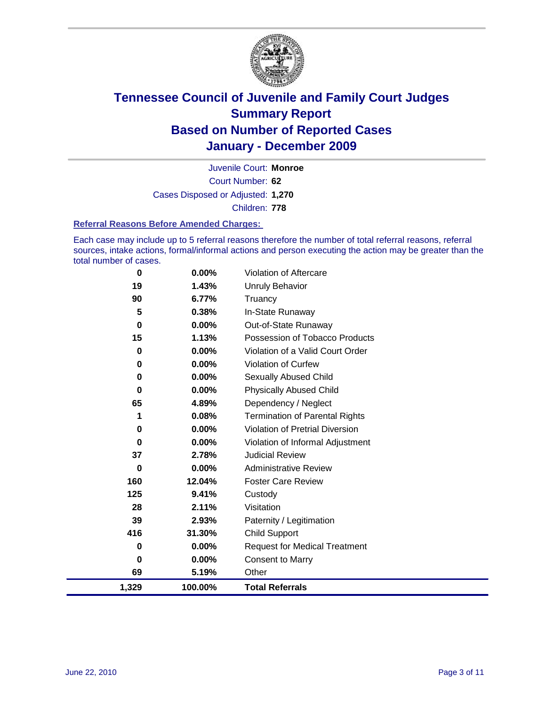

Court Number: **62** Juvenile Court: **Monroe** Cases Disposed or Adjusted: **1,270** Children: **778**

#### **Referral Reasons Before Amended Charges:**

Each case may include up to 5 referral reasons therefore the number of total referral reasons, referral sources, intake actions, formal/informal actions and person executing the action may be greater than the total number of cases.

| 0     | 0.00%   | Violation of Aftercare                 |
|-------|---------|----------------------------------------|
| 19    | 1.43%   | Unruly Behavior                        |
| 90    | 6.77%   | Truancy                                |
| 5     | 0.38%   | In-State Runaway                       |
| 0     | 0.00%   | Out-of-State Runaway                   |
| 15    | 1.13%   | Possession of Tobacco Products         |
| 0     | 0.00%   | Violation of a Valid Court Order       |
| 0     | 0.00%   | Violation of Curfew                    |
| 0     | 0.00%   | Sexually Abused Child                  |
| 0     | 0.00%   | <b>Physically Abused Child</b>         |
| 65    | 4.89%   | Dependency / Neglect                   |
| 1     | 0.08%   | <b>Termination of Parental Rights</b>  |
| 0     | 0.00%   | <b>Violation of Pretrial Diversion</b> |
| 0     | 0.00%   | Violation of Informal Adjustment       |
| 37    | 2.78%   | <b>Judicial Review</b>                 |
| 0     | 0.00%   | <b>Administrative Review</b>           |
| 160   | 12.04%  | <b>Foster Care Review</b>              |
| 125   | 9.41%   | Custody                                |
| 28    | 2.11%   | Visitation                             |
| 39    | 2.93%   | Paternity / Legitimation               |
| 416   | 31.30%  | <b>Child Support</b>                   |
| 0     | 0.00%   | <b>Request for Medical Treatment</b>   |
| 0     | 0.00%   | <b>Consent to Marry</b>                |
| 69    | 5.19%   | Other                                  |
| 1,329 | 100.00% | <b>Total Referrals</b>                 |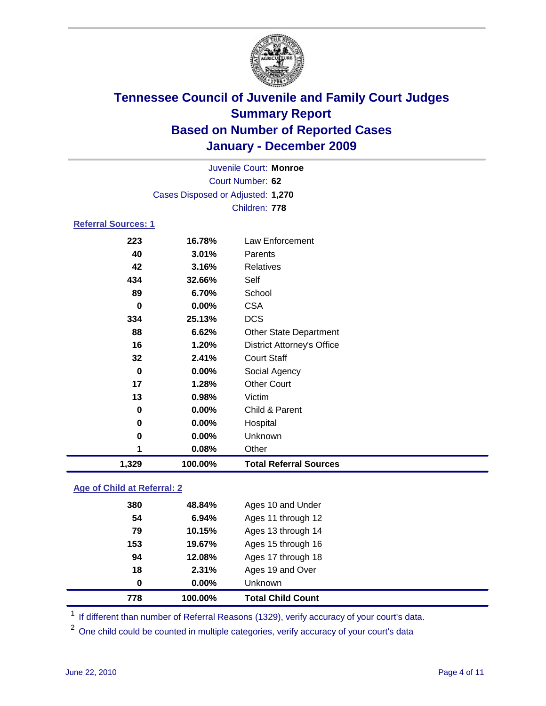

| 1,329                      | 100.00%                           | <b>Total Referral Sources</b>     |  |
|----------------------------|-----------------------------------|-----------------------------------|--|
| 1                          | 0.08%                             | Other                             |  |
| 0                          | 0.00%                             | Unknown                           |  |
| 0                          | $0.00\%$                          | Hospital                          |  |
| 0                          | 0.00%                             | Child & Parent                    |  |
| 13                         | 0.98%                             | Victim                            |  |
| 17                         | 1.28%                             | <b>Other Court</b>                |  |
| 0                          | $0.00\%$                          | Social Agency                     |  |
| 32                         | 2.41%                             | <b>Court Staff</b>                |  |
| 16                         | 1.20%                             | <b>District Attorney's Office</b> |  |
| 88                         | 6.62%                             | <b>Other State Department</b>     |  |
| 334                        | 25.13%                            | <b>DCS</b>                        |  |
| $\bf{0}$                   | $0.00\%$                          | <b>CSA</b>                        |  |
| 89                         | 6.70%                             | School                            |  |
| 434                        | 32.66%                            | Self                              |  |
| 42                         | 3.16%                             | Relatives                         |  |
| 40                         | 3.01%                             | Parents                           |  |
| 223                        | 16.78%                            | Law Enforcement                   |  |
| <b>Referral Sources: 1</b> |                                   |                                   |  |
|                            |                                   | Children: 778                     |  |
|                            | Cases Disposed or Adjusted: 1,270 |                                   |  |
|                            |                                   | Court Number: 62                  |  |
|                            | Juvenile Court: Monroe            |                                   |  |
|                            |                                   |                                   |  |

### **Age of Child at Referral: 2**

| 0   | 0.00%  | Unknown            |
|-----|--------|--------------------|
| 18  | 2.31%  | Ages 19 and Over   |
| 94  | 12.08% | Ages 17 through 18 |
| 153 | 19.67% | Ages 15 through 16 |
| 79  | 10.15% | Ages 13 through 14 |
| 54  | 6.94%  | Ages 11 through 12 |
| 380 | 48.84% | Ages 10 and Under  |
|     |        |                    |

<sup>1</sup> If different than number of Referral Reasons (1329), verify accuracy of your court's data.

<sup>2</sup> One child could be counted in multiple categories, verify accuracy of your court's data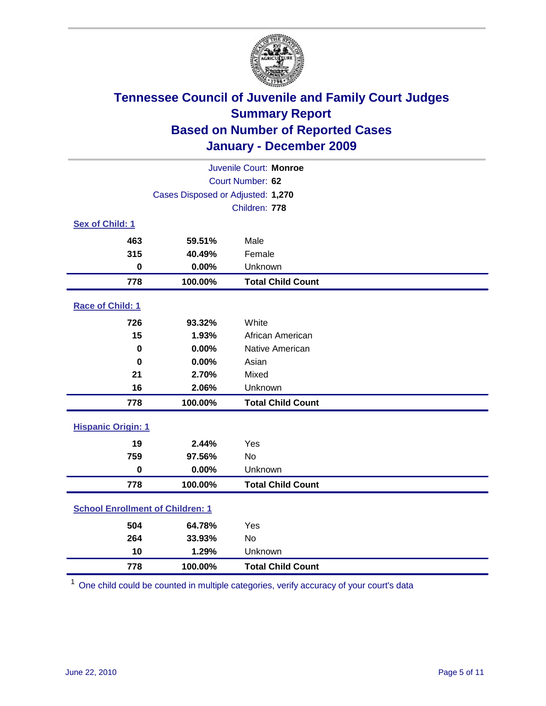

| Juvenile Court: Monroe                  |                                   |                          |  |  |
|-----------------------------------------|-----------------------------------|--------------------------|--|--|
|                                         | Court Number: 62                  |                          |  |  |
|                                         | Cases Disposed or Adjusted: 1,270 |                          |  |  |
|                                         |                                   | Children: 778            |  |  |
| Sex of Child: 1                         |                                   |                          |  |  |
| 463                                     | 59.51%                            | Male                     |  |  |
| 315                                     | 40.49%                            | Female                   |  |  |
| $\pmb{0}$                               | 0.00%                             | Unknown                  |  |  |
| 778                                     | 100.00%                           | <b>Total Child Count</b> |  |  |
| Race of Child: 1                        |                                   |                          |  |  |
| 726                                     | 93.32%                            | White                    |  |  |
| 15                                      | 1.93%                             | African American         |  |  |
| $\bf{0}$                                | 0.00%                             | Native American          |  |  |
| $\mathbf 0$                             | 0.00%                             | Asian                    |  |  |
| 21                                      | 2.70%                             | Mixed                    |  |  |
| 16                                      | 2.06%                             | Unknown                  |  |  |
| 778                                     | 100.00%                           | <b>Total Child Count</b> |  |  |
| <b>Hispanic Origin: 1</b>               |                                   |                          |  |  |
| 19                                      | 2.44%                             | Yes                      |  |  |
| 759                                     | 97.56%                            | <b>No</b>                |  |  |
| $\mathbf 0$                             | 0.00%                             | Unknown                  |  |  |
| 778                                     | 100.00%                           | <b>Total Child Count</b> |  |  |
| <b>School Enrollment of Children: 1</b> |                                   |                          |  |  |
| 504                                     | 64.78%                            | Yes                      |  |  |
| 264                                     | 33.93%                            | No                       |  |  |
| 10                                      | 1.29%                             | Unknown                  |  |  |
| 778                                     | 100.00%                           | <b>Total Child Count</b> |  |  |

One child could be counted in multiple categories, verify accuracy of your court's data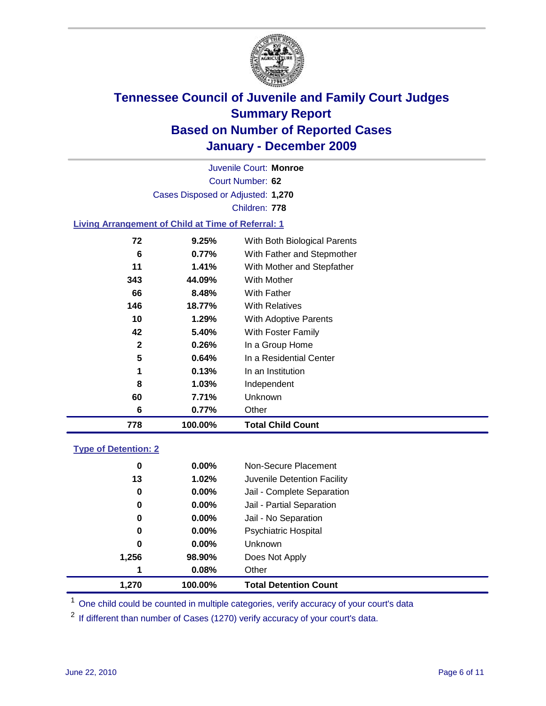

Court Number: **62** Juvenile Court: **Monroe** Cases Disposed or Adjusted: **1,270** Children: **778**

### **Living Arrangement of Child at Time of Referral: 1**

| 6            | 0.77%    | Other                        |
|--------------|----------|------------------------------|
| 60           | 7.71%    | Unknown                      |
| 8            | 1.03%    | Independent                  |
| 1            | 0.13%    | In an Institution            |
| 5            | 0.64%    | In a Residential Center      |
| $\mathbf{2}$ | 0.26%    | In a Group Home              |
| 42           | 5.40%    | With Foster Family           |
| 10           | 1.29%    | With Adoptive Parents        |
| 146          | 18.77%   | <b>With Relatives</b>        |
| 66           | 8.48%    | With Father                  |
| 343          | 44.09%   | With Mother                  |
| 11           | $1.41\%$ | With Mother and Stepfather   |
| 6            | 0.77%    | With Father and Stepmother   |
| 72           | 9.25%    | With Both Biological Parents |
|              |          |                              |

#### **Type of Detention: 2**

| 1.270 | 100.00%  | <b>Total Detention Count</b> |
|-------|----------|------------------------------|
| 1     | 0.08%    | Other                        |
| 1,256 | 98.90%   | Does Not Apply               |
| 0     | $0.00\%$ | Unknown                      |
| 0     | $0.00\%$ | <b>Psychiatric Hospital</b>  |
| 0     | 0.00%    | Jail - No Separation         |
| 0     | $0.00\%$ | Jail - Partial Separation    |
| 0     | 0.00%    | Jail - Complete Separation   |
| 13    | 1.02%    | Juvenile Detention Facility  |
| 0     | $0.00\%$ | Non-Secure Placement         |
|       |          |                              |

<sup>1</sup> One child could be counted in multiple categories, verify accuracy of your court's data

<sup>2</sup> If different than number of Cases (1270) verify accuracy of your court's data.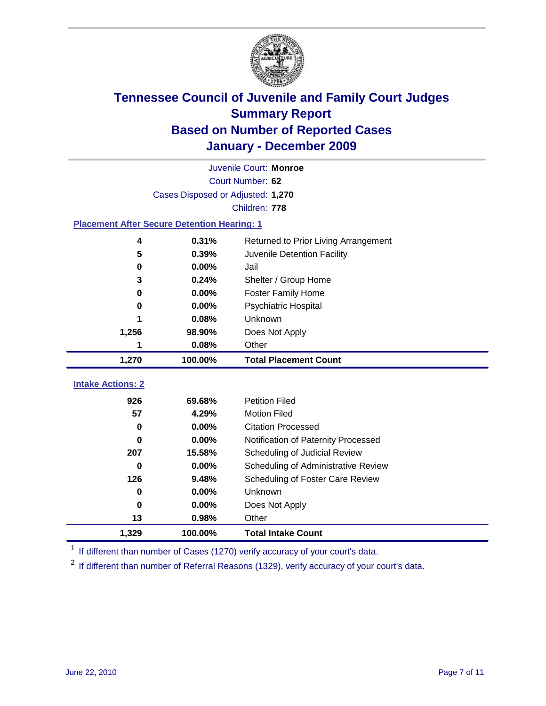

|                                                    | Juvenile Court: Monroe            |                                      |  |  |  |
|----------------------------------------------------|-----------------------------------|--------------------------------------|--|--|--|
|                                                    | Court Number: 62                  |                                      |  |  |  |
|                                                    | Cases Disposed or Adjusted: 1,270 |                                      |  |  |  |
|                                                    |                                   | Children: 778                        |  |  |  |
| <b>Placement After Secure Detention Hearing: 1</b> |                                   |                                      |  |  |  |
| 4                                                  | 0.31%                             | Returned to Prior Living Arrangement |  |  |  |
| 5                                                  | 0.39%                             | Juvenile Detention Facility          |  |  |  |
| $\bf{0}$                                           | 0.00%                             | Jail                                 |  |  |  |
| 3                                                  | 0.24%                             | Shelter / Group Home                 |  |  |  |
| $\mathbf 0$                                        | 0.00%                             | Foster Family Home                   |  |  |  |
| 0                                                  | 0.00%                             | Psychiatric Hospital                 |  |  |  |
|                                                    | 0.08%                             | Unknown                              |  |  |  |
| 1,256                                              | 98.90%                            | Does Not Apply                       |  |  |  |
| 1                                                  | 0.08%                             | Other                                |  |  |  |
| 1,270                                              | 100.00%                           | <b>Total Placement Count</b>         |  |  |  |
|                                                    |                                   |                                      |  |  |  |
| <b>Intake Actions: 2</b>                           |                                   |                                      |  |  |  |
| 926                                                | 69.68%                            | <b>Petition Filed</b>                |  |  |  |
| 57                                                 | 4.29%                             | <b>Motion Filed</b>                  |  |  |  |
| $\bf{0}$                                           | 0.00%                             | <b>Citation Processed</b>            |  |  |  |
| 0                                                  | 0.00%                             | Notification of Paternity Processed  |  |  |  |
| 207                                                | 15.58%                            | Scheduling of Judicial Review        |  |  |  |
| $\bf{0}$                                           | 0.00%                             | Scheduling of Administrative Review  |  |  |  |
| 126                                                | 9.48%                             | Scheduling of Foster Care Review     |  |  |  |
| $\bf{0}$                                           | 0.00%                             | <b>Unknown</b>                       |  |  |  |
| $\bf{0}$                                           | 0.00%                             | Does Not Apply                       |  |  |  |
| 13                                                 | 0.98%                             | Other                                |  |  |  |
| 1,329                                              | 100.00%                           | <b>Total Intake Count</b>            |  |  |  |

<sup>1</sup> If different than number of Cases (1270) verify accuracy of your court's data.

<sup>2</sup> If different than number of Referral Reasons (1329), verify accuracy of your court's data.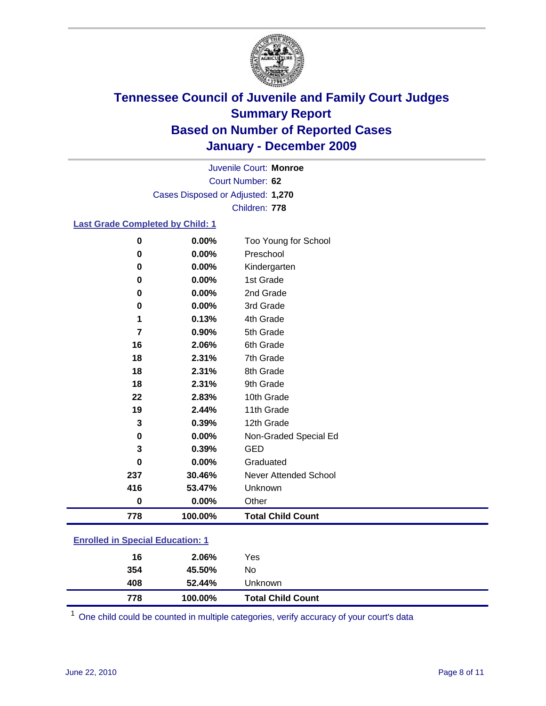

Court Number: **62** Juvenile Court: **Monroe** Cases Disposed or Adjusted: **1,270** Children: **778**

### **Last Grade Completed by Child: 1**

| $\mathbf 0$ | 0.00%   | Too Young for School         |
|-------------|---------|------------------------------|
| 0           | 0.00%   | Preschool                    |
| 0           | 0.00%   | Kindergarten                 |
| 0           | 0.00%   | 1st Grade                    |
| 0           | 0.00%   | 2nd Grade                    |
| 0           | 0.00%   | 3rd Grade                    |
| 1           | 0.13%   | 4th Grade                    |
| 7           | 0.90%   | 5th Grade                    |
| 16          | 2.06%   | 6th Grade                    |
| 18          | 2.31%   | 7th Grade                    |
| 18          | 2.31%   | 8th Grade                    |
| 18          | 2.31%   | 9th Grade                    |
| 22          | 2.83%   | 10th Grade                   |
| 19          | 2.44%   | 11th Grade                   |
| 3           | 0.39%   | 12th Grade                   |
| 0           | 0.00%   | Non-Graded Special Ed        |
| 3           | 0.39%   | <b>GED</b>                   |
| 0           | 0.00%   | Graduated                    |
| 237         | 30.46%  | <b>Never Attended School</b> |
| 416         | 53.47%  | Unknown                      |
| $\bf{0}$    | 0.00%   | Other                        |
| 778         | 100.00% | <b>Total Child Count</b>     |

### **Enrolled in Special Education: 1**

| 408<br>778 | 52.44%<br>100.00% | Unknown<br><b>Total Child Count</b> |
|------------|-------------------|-------------------------------------|
| 354        | 45.50%            | No                                  |
|            | 16<br>2.06%       | Yes                                 |

One child could be counted in multiple categories, verify accuracy of your court's data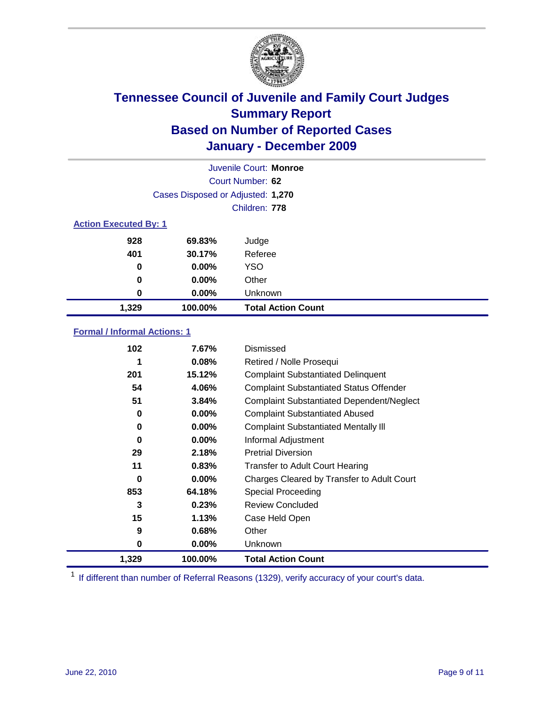

|       | Juvenile Court: Monroe            |                           |  |  |  |
|-------|-----------------------------------|---------------------------|--|--|--|
|       | Court Number: 62                  |                           |  |  |  |
|       | Cases Disposed or Adjusted: 1,270 |                           |  |  |  |
|       | Children: 778                     |                           |  |  |  |
|       | <b>Action Executed By: 1</b>      |                           |  |  |  |
| 928   | 69.83%                            | Judge                     |  |  |  |
| 401   | 30.17%                            | Referee                   |  |  |  |
| 0     | $0.00\%$                          | <b>YSO</b>                |  |  |  |
| 0     | 0.00%                             | Other                     |  |  |  |
| 0     | 0.00%                             | Unknown                   |  |  |  |
| 1,329 | 100.00%                           | <b>Total Action Count</b> |  |  |  |

### **Formal / Informal Actions: 1**

| 102   | 7.67%    | Dismissed                                        |
|-------|----------|--------------------------------------------------|
|       | 0.08%    | Retired / Nolle Prosequi                         |
| 201   | 15.12%   | <b>Complaint Substantiated Delinquent</b>        |
| 54    | 4.06%    | <b>Complaint Substantiated Status Offender</b>   |
| 51    | 3.84%    | <b>Complaint Substantiated Dependent/Neglect</b> |
| 0     | 0.00%    | <b>Complaint Substantiated Abused</b>            |
| 0     | 0.00%    | <b>Complaint Substantiated Mentally III</b>      |
| 0     | $0.00\%$ | Informal Adjustment                              |
| 29    | 2.18%    | <b>Pretrial Diversion</b>                        |
| 11    | 0.83%    | <b>Transfer to Adult Court Hearing</b>           |
| 0     | $0.00\%$ | Charges Cleared by Transfer to Adult Court       |
| 853   | 64.18%   | Special Proceeding                               |
| 3     | 0.23%    | <b>Review Concluded</b>                          |
| 15    | 1.13%    | Case Held Open                                   |
| 9     | 0.68%    | Other                                            |
| 0     | $0.00\%$ | <b>Unknown</b>                                   |
| 1,329 | 100.00%  | <b>Total Action Count</b>                        |

<sup>1</sup> If different than number of Referral Reasons (1329), verify accuracy of your court's data.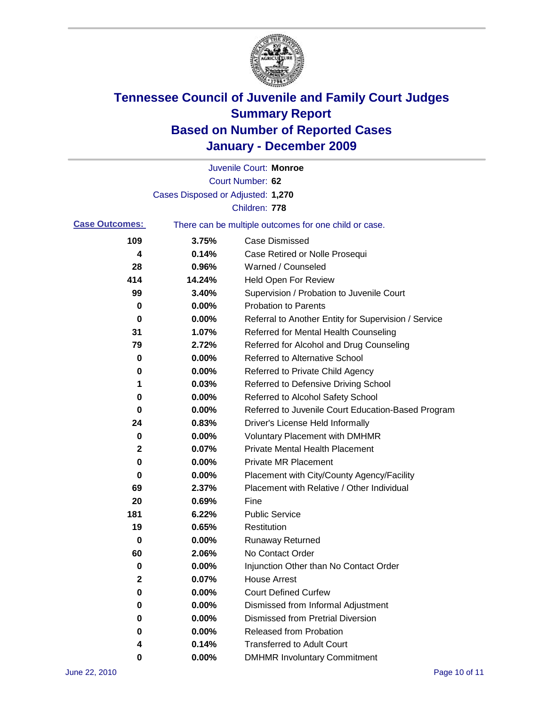

|                       |                                   | Juvenile Court: Monroe                                |
|-----------------------|-----------------------------------|-------------------------------------------------------|
|                       |                                   | Court Number: 62                                      |
|                       | Cases Disposed or Adjusted: 1,270 |                                                       |
|                       |                                   | Children: 778                                         |
| <b>Case Outcomes:</b> |                                   | There can be multiple outcomes for one child or case. |
| 109                   | 3.75%                             | <b>Case Dismissed</b>                                 |
| 4                     | 0.14%                             | Case Retired or Nolle Prosequi                        |
| 28                    | 0.96%                             | Warned / Counseled                                    |
| 414                   | 14.24%                            | Held Open For Review                                  |
| 99                    | 3.40%                             | Supervision / Probation to Juvenile Court             |
| 0                     | 0.00%                             | <b>Probation to Parents</b>                           |
| 0                     | 0.00%                             | Referral to Another Entity for Supervision / Service  |
| 31                    | 1.07%                             | Referred for Mental Health Counseling                 |
| 79                    | 2.72%                             | Referred for Alcohol and Drug Counseling              |
| 0                     | 0.00%                             | <b>Referred to Alternative School</b>                 |
| 0                     | 0.00%                             | Referred to Private Child Agency                      |
| 1                     | 0.03%                             | Referred to Defensive Driving School                  |
| 0                     | 0.00%                             | Referred to Alcohol Safety School                     |
| 0                     | 0.00%                             | Referred to Juvenile Court Education-Based Program    |
| 24                    | 0.83%                             | Driver's License Held Informally                      |
| 0                     | 0.00%                             | <b>Voluntary Placement with DMHMR</b>                 |
| 2                     | 0.07%                             | <b>Private Mental Health Placement</b>                |
| 0                     | 0.00%                             | <b>Private MR Placement</b>                           |
| 0                     | 0.00%                             | Placement with City/County Agency/Facility            |
| 69                    | 2.37%                             | Placement with Relative / Other Individual            |
| 20                    | 0.69%                             | Fine                                                  |
| 181                   | 6.22%                             | <b>Public Service</b>                                 |
| 19                    | 0.65%                             | Restitution                                           |
| 0                     | 0.00%                             | <b>Runaway Returned</b>                               |
| 60                    | 2.06%                             | No Contact Order                                      |
| 0                     | 0.00%                             | Injunction Other than No Contact Order                |
| $\mathbf 2$           | 0.07%                             | <b>House Arrest</b>                                   |
| 0                     | 0.00%                             | <b>Court Defined Curfew</b>                           |
| 0                     | 0.00%                             | Dismissed from Informal Adjustment                    |
| 0                     | 0.00%                             | <b>Dismissed from Pretrial Diversion</b>              |
| 0                     | 0.00%                             | Released from Probation                               |
| 4                     | 0.14%                             | <b>Transferred to Adult Court</b>                     |
| 0                     | $0.00\%$                          | <b>DMHMR Involuntary Commitment</b>                   |